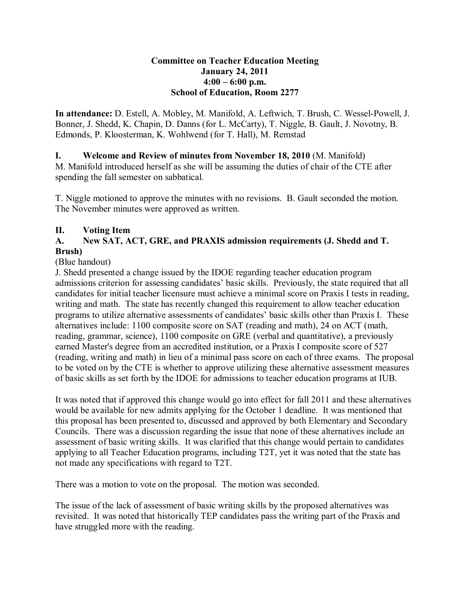#### **Committee on Teacher Education Meeting January 24, 2011 4:00 – 6:00 p.m. School of Education, Room 2277**

**In attendance:** D. Estell, A. Mobley, M. Manifold, A. Leftwich, T. Brush, C. Wessel-Powell, J. Bonner, J. Shedd, K. Chapin, D. Danns (for L. McCarty), T. Niggle, B. Gault, J. Novotny, B. Edmonds, P. Kloosterman, K. Wohlwend (for T. Hall), M. Remstad

**I. Welcome and Review of minutes from November 18, 2010** (M. Manifold) M. Manifold introduced herself as she will be assuming the duties of chair of the CTE after spending the fall semester on sabbatical.

T. Niggle motioned to approve the minutes with no revisions. B. Gault seconded the motion. The November minutes were approved as written.

#### **II. Voting Item**

## **A. New SAT, ACT, GRE, and PRAXIS admission requirements (J. Shedd and T. Brush)**

#### (Blue handout)

J. Shedd presented a change issued by the IDOE regarding teacher education program admissions criterion for assessing candidates' basic skills. Previously, the state required that all candidates for initial teacher licensure must achieve a minimal score on Praxis I tests in reading, writing and math. The state has recently changed this requirement to allow teacher education programs to utilize alternative assessments of candidates' basic skills other than Praxis I. These alternatives include: 1100 composite score on SAT (reading and math), 24 on ACT (math, reading, grammar, science), 1100 composite on GRE (verbal and quantitative), a previously earned Master's degree from an accredited institution, or a Praxis I composite score of 527 (reading, writing and math) in lieu of a minimal pass score on each of three exams. The proposal to be voted on by the CTE is whether to approve utilizing these alternative assessment measures of basic skills as set forth by the IDOE for admissions to teacher education programs at IUB.

It was noted that if approved this change would go into effect for fall 2011 and these alternatives would be available for new admits applying for the October 1 deadline. It was mentioned that this proposal has been presented to, discussed and approved by both Elementary and Secondary Councils. There was a discussion regarding the issue that none of these alternatives include an assessment of basic writing skills. It was clarified that this change would pertain to candidates applying to all Teacher Education programs, including T2T, yet it was noted that the state has not made any specifications with regard to T2T.

There was a motion to vote on the proposal. The motion was seconded.

The issue of the lack of assessment of basic writing skills by the proposed alternatives was revisited. It was noted that historically TEP candidates pass the writing part of the Praxis and have struggled more with the reading.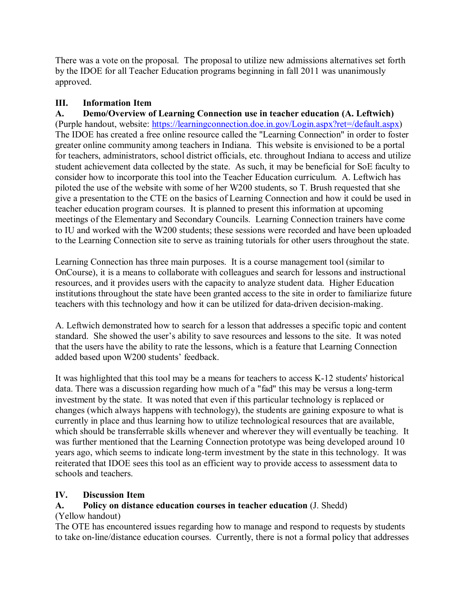There was a vote on the proposal. The proposal to utilize new admissions alternatives set forth by the IDOE for all Teacher Education programs beginning in fall 2011 was unanimously approved.

## **III. Information Item**

**A. Demo/Overview of Learning Connection use in teacher education (A. Leftwich)** (Purple handout, website: [https://learningconnection.doe.in.gov/Login.aspx?ret=/default.aspx\)](https://learningconnection.doe.in.gov/Login.aspx?ret=/default.aspx) The IDOE has created a free online resource called the "Learning Connection" in order to foster greater online community among teachers in Indiana. This website is envisioned to be a portal for teachers, administrators, school district officials, etc. throughout Indiana to access and utilize student achievement data collected by the state. As such, it may be beneficial for SoE faculty to consider how to incorporate this tool into the Teacher Education curriculum. A. Leftwich has piloted the use of the website with some of her W200 students, so T. Brush requested that she give a presentation to the CTE on the basics of Learning Connection and how it could be used in teacher education program courses. It is planned to present this information at upcoming meetings of the Elementary and Secondary Councils. Learning Connection trainers have come to IU and worked with the W200 students; these sessions were recorded and have been uploaded to the Learning Connection site to serve as training tutorials for other users throughout the state.

Learning Connection has three main purposes. It is a course management tool (similar to OnCourse), it is a means to collaborate with colleagues and search for lessons and instructional resources, and it provides users with the capacity to analyze student data. Higher Education institutions throughout the state have been granted access to the site in order to familiarize future teachers with this technology and how it can be utilized for data-driven decision-making.

A. Leftwich demonstrated how to search for a lesson that addresses a specific topic and content standard. She showed the user's ability to save resources and lessons to the site. It was noted that the users have the ability to rate the lessons, which is a feature that Learning Connection added based upon W200 students' feedback.

It was highlighted that this tool may be a means for teachers to access K-12 students' historical data. There was a discussion regarding how much of a "fad" this may be versus a long-term investment by the state. It was noted that even if this particular technology is replaced or changes (which always happens with technology), the students are gaining exposure to what is currently in place and thus learning how to utilize technological resources that are available, which should be transferrable skills whenever and wherever they will eventually be teaching. It was further mentioned that the Learning Connection prototype was being developed around 10 years ago, which seems to indicate long-term investment by the state in this technology. It was reiterated that IDOE sees this tool as an efficient way to provide access to assessment data to schools and teachers.

# **IV. Discussion Item**

### **A. Policy on distance education courses in teacher education** (J. Shedd)

### (Yellow handout)

The OTE has encountered issues regarding how to manage and respond to requests by students to take on-line/distance education courses. Currently, there is not a formal policy that addresses